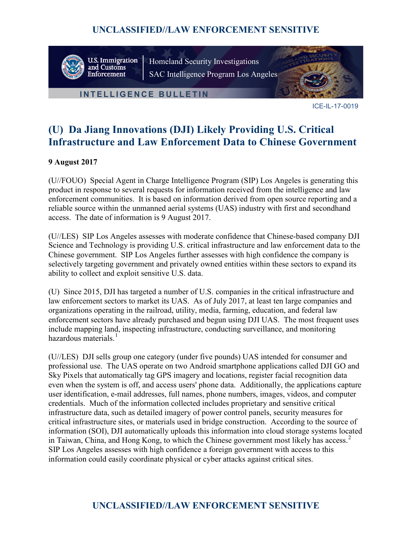

U.S. Immigration<br>and Customs Enforcement

Homeland Security Investigations SAC Intelligence Program Los Angeles

#### **INTELLIGENCE BULLETIN**



ICE-IL-17-0019

# **(U) Da Jiang Innovations (DJI) Likely Providing U.S. Critical Infrastructure and Law Enforcement Data to Chinese Government**

#### **9 August 2017**

(U//FOUO) Special Agent in Charge Intelligence Program (SIP) Los Angeles is generating this product in response to several requests for information received from the intelligence and law enforcement communities. It is based on information derived from open source reporting and a reliable source within the unmanned aerial systems (UAS) industry with first and secondhand access. The date of information is 9 August 2017.

(U//LES) SIP Los Angeles assesses with moderate confidence that Chinese-based company DJI Science and Technology is providing U.S. critical infrastructure and law enforcement data to the Chinese government. SIP Los Angeles further assesses with high confidence the company is selectively targeting government and privately owned entities within these sectors to expand its ability to collect and exploit sensitive U.S. data.

(U) Since 2015, DJI has targeted a number of U.S. companies in the critical infrastructure and law enforcement sectors to market its UAS. As of July 2017, at least ten large companies and organizations operating in the railroad, utility, media, farming, education, and federal law enforcement sectors have already purchased and begun using DJI UAS. The most frequent uses include mapping land, inspecting infrastructure, conducting surveillance, and monitoring hazardous materials.<sup>[1](#page-4-0)</sup>

(U//LES) DJI sells group one category (under five pounds) UAS intended for consumer and professional use. The UAS operate on two Android smartphone applications called DJI GO and Sky Pixels that automatically tag GPS imagery and locations, register facial recognition data even when the system is off, and access users' phone data. Additionally, the applications capture user identification, e-mail addresses, full names, phone numbers, images, videos, and computer credentials. Much of the information collected includes proprietary and sensitive critical infrastructure data, such as detailed imagery of power control panels, security measures for critical infrastructure sites, or materials used in bridge construction. According to the source of information (SOI), DJI automatically uploads this information into cloud storage systems located in Taiwan, China, and Hong Kong, to which the Chinese government most likely has access.<sup>[2](#page-4-1)</sup> SIP Los Angeles assesses with high confidence a foreign government with access to this information could easily coordinate physical or cyber attacks against critical sites.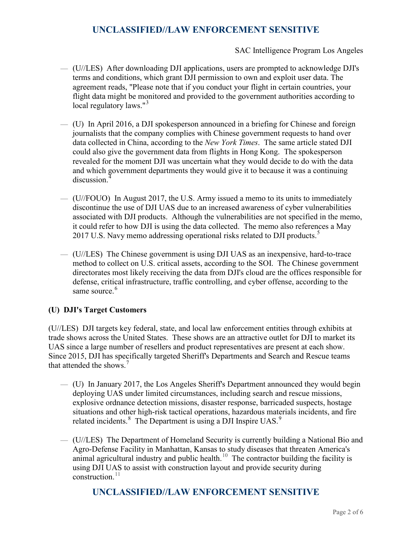SAC Intelligence Program Los Angeles

- (U//LES) After downloading DJI applications, users are prompted to acknowledge DJI's terms and conditions, which grant DJI permission to own and exploit user data. The agreement reads, "Please note that if you conduct your flight in certain countries, your flight data might be monitored and provided to the government authorities according to local regulatory laws."<sup>[3](#page-5-0)</sup>
- (U) In April 2016, a DJI spokesperson announced in a briefing for Chinese and foreign journalists that the company complies with Chinese government requests to hand over data collected in China, according to the *New York Times*. The same article stated DJI could also give the government data from flights in Hong Kong. The spokesperson revealed for the moment DJI was uncertain what they would decide to do with the data and which government departments they would give it to because it was a continuing discussion.<sup>[4](#page-5-1)</sup>
- (U//FOUO) In August 2017, the U.S. Army issued a memo to its units to immediately discontinue the use of DJI UAS due to an increased awareness of cyber vulnerabilities associated with DJI products. Although the vulnerabilities are not specified in the memo, it could refer to how DJI is using the data collected. The memo also references a May 2017 U.S. Navy memo addressing operational risks related to DJI products.<sup>[5](#page-5-2)</sup>
- (U//LES) The Chinese government is using DJI UAS as an inexpensive, hard-to-trace method to collect on U.S. critical assets, according to the SOI. The Chinese government directorates most likely receiving the data from DJI's cloud are the offices responsible for defense, critical infrastructure, traffic controlling, and cyber offense, according to the same source.<sup>[6](#page-5-3)</sup>

#### **(U) DJI's Target Customers**

(U//LES) DJI targets key federal, state, and local law enforcement entities through exhibits at trade shows across the United States. These shows are an attractive outlet for DJI to market its UAS since a large number of resellers and product representatives are present at each show. Since 2015, DJI has specifically targeted Sheriff's Departments and Search and Rescue teams that attended the shows.<sup>[7](#page-5-4)</sup>

- (U) In January 2017, the Los Angeles Sheriff's Department announced they would begin deploying UAS under limited circumstances, including search and rescue missions, explosive ordnance detection missions, disaster response, barricaded suspects, hostage situations and other high-risk tactical operations, hazardous materials incidents, and fire related incidents.<sup>[8](#page-5-5)</sup> The Department is using a DJI Inspire UAS.<sup>[9](#page-5-6)</sup>
- (U//LES) The Department of Homeland Security is currently building a National Bio and Agro-Defense Facility in Manhattan, Kansas to study diseases that threaten America's animal agricultural industry and public health.<sup>[10](#page-5-7)</sup> The contractor building the facility is using DJI UAS to assist with construction layout and provide security during construction. $^{11}$  $^{11}$  $^{11}$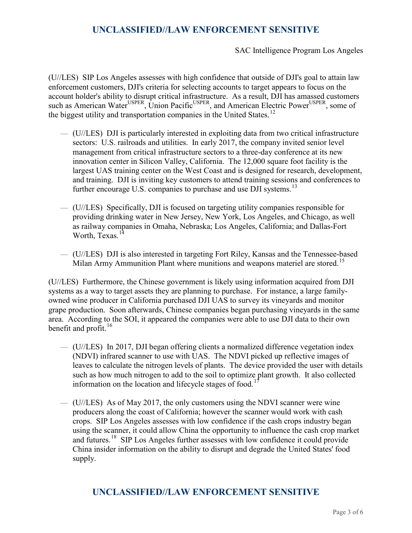SAC Intelligence Program Los Angeles

(U//LES) SIP Los Angeles assesses with high confidence that outside of DJI's goal to attain law enforcement customers, DJI's criteria for selecting accounts to target appears to focus on the account holder's ability to disrupt critical infrastructure. As a result, DJI has amassed customers such as American Water<sup>USPER</sup>, Union Pacific<sup>USPER</sup>, and American Electric Power<sup>USPER</sup>, some of the biggest utility and transportation companies in the United States.<sup>[12](#page-5-9)</sup>

- (U//LES) DJI is particularly interested in exploiting data from two critical infrastructure sectors: U.S. railroads and utilities. In early 2017, the company invited senior level management from critical infrastructure sectors to a three-day conference at its new innovation center in Silicon Valley, California. The 12,000 square foot facility is the largest UAS training center on the West Coast and is designed for research, development, and training. DJI is inviting key customers to attend training sessions and conferences to further encourage U.S. companies to purchase and use DJI systems.<sup>[13](#page-5-10)</sup>
- (U//LES) Specifically, DJI is focused on targeting utility companies responsible for providing drinking water in New Jersey, New York, Los Angeles, and Chicago, as well as railway companies in Omaha, Nebraska; Los Angeles, California; and Dallas-Fort Worth, Texas.<sup>[14](#page-5-11)</sup>
- (U//LES) DJI is also interested in targeting Fort Riley, Kansas and the Tennessee-based Milan Army Ammunition Plant where munitions and weapons materiel are stored.<sup>[15](#page-5-12)</sup>

(U//LES) Furthermore, the Chinese government is likely using information acquired from DJI systems as a way to target assets they are planning to purchase. For instance, a large familyowned wine producer in California purchased DJI UAS to survey its vineyards and monitor grape production. Soon afterwards, Chinese companies began purchasing vineyards in the same area. According to the SOI, it appeared the companies were able to use DJI data to their own benefit and profit. $16$ 

- (U//LES) In 2017, DJI began offering clients a normalized difference vegetation index (NDVI) infrared scanner to use with UAS. The NDVI picked up reflective images of leaves to calculate the nitrogen levels of plants. The device provided the user with details such as how much nitrogen to add to the soil to optimize plant growth. It also collected information on the location and lifecycle stages of food.<sup>1</sup>
- $-$  (U//LES) As of May 2017, the only customers using the NDVI scanner were wine producers along the coast of California; however the scanner would work with cash crops. SIP Los Angeles assesses with low confidence if the cash crops industry began using the scanner, it could allow China the opportunity to influence the cash crop market and futures.[18](#page-5-15) SIP Los Angeles further assesses with low confidence it could provide China insider information on the ability to disrupt and degrade the United States' food supply.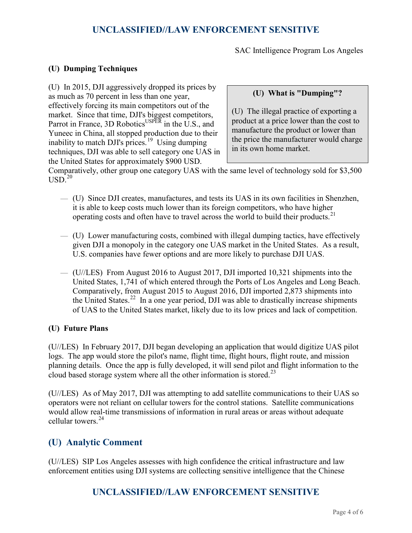SAC Intelligence Program Los Angeles

#### **(U) Dumping Techniques**

(U) In 2015, DJI aggressively dropped its prices by as much as 70 percent in less than one year, effectively forcing its main competitors out of the market. Since that time, DJI's biggest competitors, Parrot in France, 3D Robotics<sup>USPER</sup> in the U.S., and Yuneec in China, all stopped production due to their inability to match DJI's prices.<sup>[19](#page-5-16)</sup> Using dumping techniques, DJI was able to sell category one UAS in the United States for approximately \$900 USD.

#### **(U) What is "Dumping"?**

(U) The illegal practice of exporting a product at a price lower than the cost to manufacture the product or lower than the price the manufacturer would charge in its own home market.

Comparatively, other group one category UAS with the same level of technology sold for \$3,500  $USD<sup>20</sup>$  $USD<sup>20</sup>$  $USD<sup>20</sup>$ 

- (U) Since DJI creates, manufactures, and tests its UAS in its own facilities in Shenzhen, it is able to keep costs much lower than its foreign competitors, who have higher operating costs and often have to travel across the world to build their products.<sup>[21](#page-5-18)</sup>
- (U) Lower manufacturing costs, combined with illegal dumping tactics, have effectively given DJI a monopoly in the category one UAS market in the United States. As a result, U.S. companies have fewer options and are more likely to purchase DJI UAS.
- (U//LES) From August 2016 to August 2017, DJI imported 10,321 shipments into the United States, 1,741 of which entered through the Ports of Los Angeles and Long Beach. Comparatively, from August 2015 to August 2016, DJI imported 2,873 shipments into the United States.<sup>22</sup> In a one year period, DJI was able to drastically increase shipments of UAS to the United States market, likely due to its low prices and lack of competition.

#### **(U) Future Plans**

(U//LES) In February 2017, DJI began developing an application that would digitize UAS pilot logs. The app would store the pilot's name, flight time, flight hours, flight route, and mission planning details. Once the app is fully developed, it will send pilot and flight information to the cloud based storage system where all the other information is stored.<sup>[23](#page-5-20)</sup>

(U//LES) As of May 2017, DJI was attempting to add satellite communications to their UAS so operators were not reliant on cellular towers for the control stations. Satellite communications would allow real-time transmissions of information in rural areas or areas without adequate cellular towers.[24](#page-5-21)

### **(U) Analytic Comment**

(U//LES) SIP Los Angeles assesses with high confidence the critical infrastructure and law enforcement entities using DJI systems are collecting sensitive intelligence that the Chinese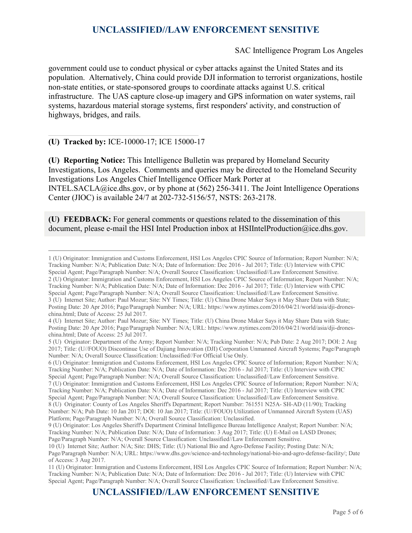SAC Intelligence Program Los Angeles

government could use to conduct physical or cyber attacks against the United States and its population. Alternatively, China could provide DJI information to terrorist organizations, hostile non-state entities, or state-sponsored groups to coordinate attacks against U.S. critical infrastructure. The UAS capture close-up imagery and GPS information on water systems, rail systems, hazardous material storage systems, first responders' activity, and construction of highways, bridges, and rails.

**(U) Tracked by:** ICE-10000-17; ICE 15000-17

**(U) Reporting Notice:** This Intelligence Bulletin was prepared by Homeland Security Investigations, Los Angeles. Comments and queries may be directed to the Homeland Security Investigations Los Angeles Chief Intelligence Officer Mark Porter at INTEL.SACLA@ice.dhs.gov, or by phone at (562) 256-3411. The Joint Intelligence Operations Center (JIOC) is available 24/7 at 202-732-5156/57, NSTS: 263-2178.

**(U) FEEDBACK:** For general comments or questions related to the dissemination of this document, please e-mail the HSI Intel Production inbox at [HSIIntelProduction@ice.dhs.gov.](mailto:HSIIntelProduction@ice.dhs.gov)

<span id="page-4-1"></span>2 (U) Originator: Immigration and Customs Enforcement, HSI Los Angeles CPIC Source of Information; Report Number: N/A; Tracking Number: N/A; Publication Date: N/A; Date of Information: Dec 2016 - Jul 2017; Title: (U) Interview with CPIC Special Agent; Page/Paragraph Number: N/A; Overall Source Classification: Unclassified//Law Enforcement Sensitive. 3 (U) Internet Site; Author: Paul Mozur; Site: NY Times; Title: (U) China Drone Maker Says it May Share Data with State; Posting Date: 20 Apr 2016; Page/Paragraph Number: N/A; URL: https://www.nytimes.com/2016/04/21/world/asia/dji-droneschina.html; Date of Access: 25 Jul 2017.

Platform; Page/Paragraph Number: N/A; Overall Source Classification: Unclassified.

<span id="page-4-0"></span> <sup>1</sup> (U) Originator: Immigration and Customs Enforcement, HSI Los Angeles CPIC Source of Information; Report Number: N/A; Tracking Number: N/A; Publication Date: N/A; Date of Information: Dec 2016 - Jul 2017; Title: (U) Interview with CPIC Special Agent; Page/Paragraph Number: N/A; Overall Source Classification: Unclassified//Law Enforcement Sensitive.

<sup>4</sup> (U) Internet Site; Author: Paul Mozur; Site: NY Times; Title: (U) China Drone Maker Says it May Share Data with State; Posting Date: 20 Apr 2016; Page/Paragraph Number: N/A; URL: https://www.nytimes.com/2016/04/21/world/asia/dji-droneschina.html; Date of Access: 25 Jul 2017.

<sup>5</sup> (U) Originator: Department of the Army; Report Number: N/A; Tracking Number: N/A; Pub Date: 2 Aug 2017; DOI: 2 Aug 2017; Title: (U//FOUO) Discontinue Use of Dajiang Innovation (DJI) Corporation Unmanned Aircraft Systems; Page/Paragraph Number: N/A; Overall Source Classification: Unclassified//For Official Use Only.

<sup>6</sup> (U) Originator: Immigration and Customs Enforcement, HSI Los Angeles CPIC Source of Information; Report Number: N/A; Tracking Number: N/A; Publication Date: N/A; Date of Information: Dec 2016 - Jul 2017; Title: (U) Interview with CPIC Special Agent; Page/Paragraph Number: N/A; Overall Source Classification: Unclassified//Law Enforcement Sensitive. 7 (U) Originator: Immigration and Customs Enforcement, HSI Los Angeles CPIC Source of Information; Report Number: N/A; Tracking Number: N/A; Publication Date: N/A; Date of Information: Dec 2016 - Jul 2017; Title: (U) Interview with CPIC Special Agent; Page/Paragraph Number: N/A; Overall Source Classification: Unclassified//Law Enforcement Sensitive. 8 (U) Originator: County of Los Angeles Sheriff's Department; Report Number: 761551 N25A- SH-AD (11/90); Tracking Number: N/A; Pub Date: 10 Jan 2017; DOI: 10 Jan 2017; Title: (U//FOUO) Utilization of Unmanned Aircraft System (UAS)

<sup>9</sup> (U) Originator: Los Angeles Sheriff's Department Criminal Intelligence Bureau Intelligence Analyst; Report Number: N/A; Tracking Number: N/A; Publication Date: N/A; Date of Information: 3 Aug 2017; Title: (U) E-Mail on LASD Drones; Page/Paragraph Number: N/A; Overall Source Classification: Unclassified//Law Enforcement Sensitive.

<sup>10</sup> (U) Internet Site; Author: N/A; Site: DHS; Title: (U) National Bio and Agro-Defense Facility; Posting Date: N/A; Page/Paragraph Number: N/A; URL: https://www.dhs.gov/science-and-technology/national-bio-and-agro-defense-facility/; Date of Access: 3 Aug 2017.

<sup>11</sup> (U) Originator: Immigration and Customs Enforcement, HSI Los Angeles CPIC Source of Information; Report Number: N/A; Tracking Number: N/A; Publication Date: N/A; Date of Information: Dec 2016 - Jul 2017; Title: (U) Interview with CPIC Special Agent; Page/Paragraph Number: N/A; Overall Source Classification: Unclassified//Law Enforcement Sensitive.